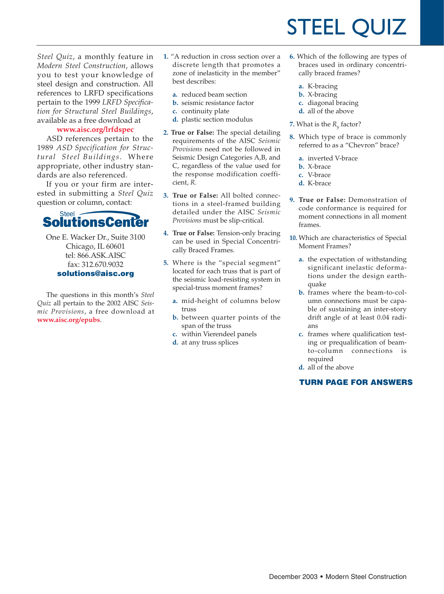# STEEL QUIZ

*Steel Quiz*, a monthly feature in *Modern Steel Construction*, allows you to test your knowledge of steel design and construction. All references to LRFD specifications pertain to the 1999 *LRFD Specification for Structural Steel Buildings*, available as a free download at

#### **www.aisc.org/lrfdspec**

ASD references pertain to the 1989 *ASD Specification for Structural Steel Buildings*. Where appropriate, other industry standards are also referenced.

If you or your firm are interested in submitting a *Steel Quiz* question or column, contact:



One E. Wacker Dr., Suite 3100 Chicago, IL 60601 tel: 866.ASK.AISC fax: 312.670.9032 **solutions@aisc.org**

The questions in this month's *Steel Quiz* all pertain to the 2002 AISC *Seismic Provisions*, a free download at **www.aisc.org/epubs**.

- **1.** "A reduction in cross section over a discrete length that promotes a zone of inelasticity in the member" best describes:
	- **a.** reduced beam section
	- **b.** seismic resistance factor
	- **c.** continuity plate
	- **d.** plastic section modulus
- **2. True or False:** The special detailing requirements of the AISC *Seismic Provisions* need not be followed in Seismic Design Categories A,B, and C, regardless of the value used for the response modification coefficient, *R*.
- **3. True or False:** All bolted connections in a steel-framed building detailed under the AISC *Seismic Provisions* must be slip-critical.
- **4. True or False:** Tension-only bracing can be used in Special Concentrically Braced Frames.
- **5.** Where is the "special segment" located for each truss that is part of the seismic load-resisting system in special-truss moment frames?
	- **a.** mid-height of columns below truss
	- **b.** between quarter points of the span of the truss
	- **c.** within Vierendeel panels
	- **d.** at any truss splices
- **6.** Which of the following are types of braces used in ordinary concentrically braced frames?
	- **a.** K-bracing
	- **b.** X-bracing
	- **c.** diagonal bracing
	- **d.** all of the above
- **7.** What is the  $R_{y}$  factor?
- **8.** Which type of brace is commonly referred to as a "Chevron" brace?
	- **a.** inverted V-brace
	- **b.** X-brace
	- **c.** V-brace
	- **d.** K-brace
- **9. True or False:** Demonstration of code conformance is required for moment connections in all moment frames.
- **10.** Which are characteristics of Special Moment Frames?
	- **a.** the expectation of withstanding significant inelastic deformations under the design earthquake
	- **b.** frames where the beam-to-column connections must be capable of sustaining an inter-story drift angle of at least 0.04 radians
	- **c.** frames where qualification testing or prequalification of beamto-column connections is required
	- **d.** all of the above

### **TURN PAGE FOR ANSWERS**